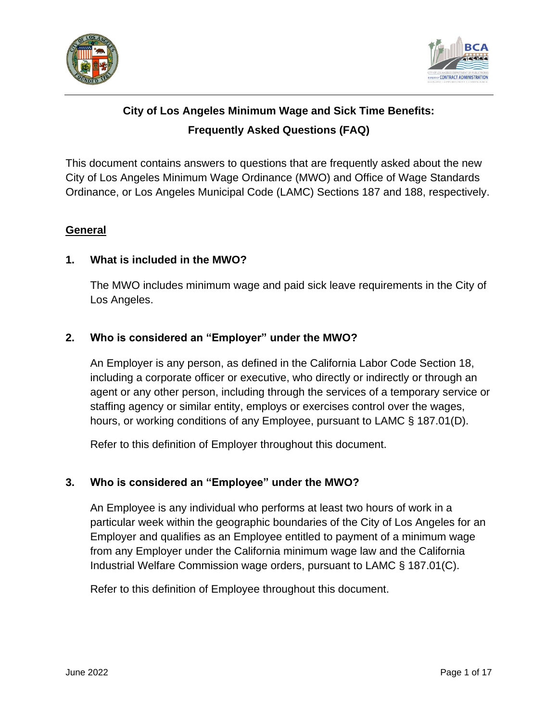



# **City of Los Angeles Minimum Wage and Sick Time Benefits: Frequently Asked Questions (FAQ)**

This document contains answers to questions that are frequently asked about the new City of Los Angeles Minimum Wage Ordinance (MWO) and Office of Wage Standards Ordinance, or Los Angeles Municipal Code (LAMC) Sections 187 and 188, respectively.

### **General**

# **1. What is included in the MWO?**

The MWO includes minimum wage and paid sick leave requirements in the City of Los Angeles.

# **2. Who is considered an "Employer" under the MWO?**

An Employer is any person, as defined in the California Labor Code Section 18, including a corporate officer or executive, who directly or indirectly or through an agent or any other person, including through the services of a temporary service or staffing agency or similar entity, employs or exercises control over the wages, hours, or working conditions of any Employee, pursuant to LAMC § 187.01(D).

Refer to this definition of Employer throughout this document.

#### <span id="page-0-0"></span>**3. Who is considered an "Employee" under the MWO?**

An Employee is any individual who performs at least two hours of work in a particular week within the geographic boundaries of the City of Los Angeles for an Employer and qualifies as an Employee entitled to payment of a minimum wage from any Employer under the California minimum wage law and the California Industrial Welfare Commission wage orders, pursuant to LAMC § 187.01(C).

Refer to this definition of Employee throughout this document.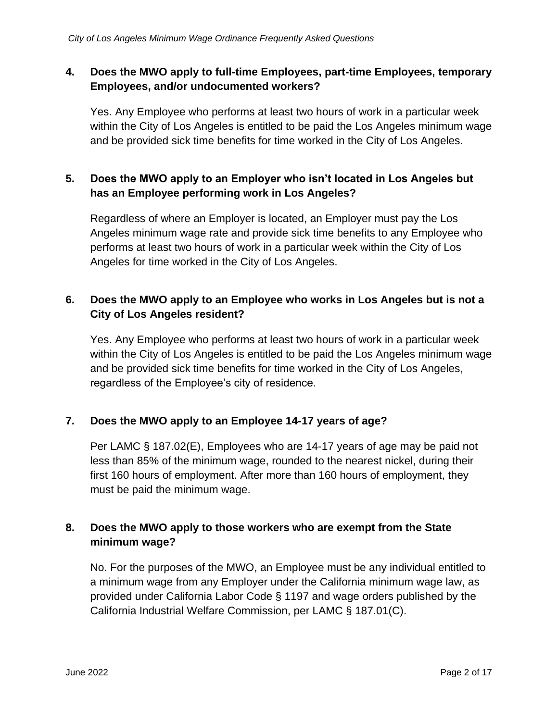# **4. Does the MWO apply to full-time Employees, part-time Employees, temporary Employees, and/or undocumented workers?**

Yes. Any Employee who performs at least two hours of work in a particular week within the City of Los Angeles is entitled to be paid the Los Angeles minimum wage and be provided sick time benefits for time worked in the City of Los Angeles.

# **5. Does the MWO apply to an Employer who isn't located in Los Angeles but has an Employee performing work in Los Angeles?**

Regardless of where an Employer is located, an Employer must pay the Los Angeles minimum wage rate and provide sick time benefits to any Employee who performs at least two hours of work in a particular week within the City of Los Angeles for time worked in the City of Los Angeles.

# **6. Does the MWO apply to an Employee who works in Los Angeles but is not a City of Los Angeles resident?**

Yes. Any Employee who performs at least two hours of work in a particular week within the City of Los Angeles is entitled to be paid the Los Angeles minimum wage and be provided sick time benefits for time worked in the City of Los Angeles, regardless of the Employee's city of residence.

# **7. Does the MWO apply to an Employee 14-17 years of age?**

Per LAMC § 187.02(E), Employees who are 14-17 years of age may be paid not less than 85% of the minimum wage, rounded to the nearest nickel, during their first 160 hours of employment. After more than 160 hours of employment, they must be paid the minimum wage.

# **8. Does the MWO apply to those workers who are exempt from the State minimum wage?**

No. For the purposes of the MWO, an Employee must be any individual entitled to a minimum wage from any Employer under the California minimum wage law, as provided under California Labor Code § 1197 and wage orders published by the California Industrial Welfare Commission, per LAMC § 187.01(C).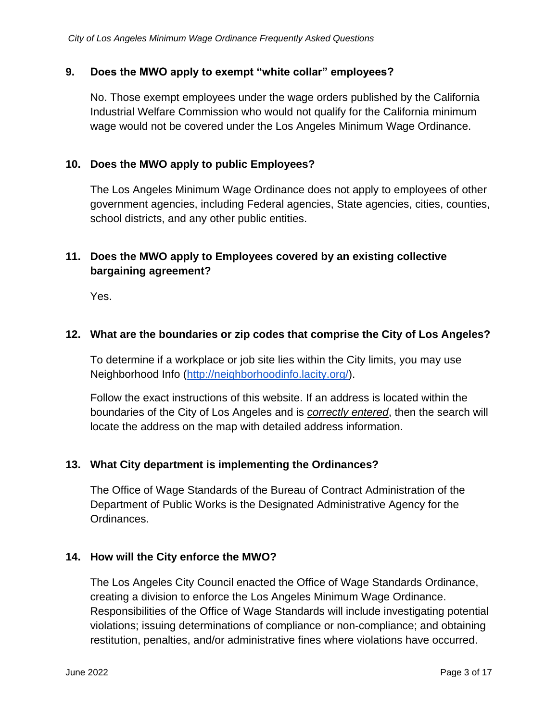#### **9. Does the MWO apply to exempt "white collar" employees?**

No. Those exempt employees under the wage orders published by the California Industrial Welfare Commission who would not qualify for the California minimum wage would not be covered under the Los Angeles Minimum Wage Ordinance.

#### **10. Does the MWO apply to public Employees?**

The Los Angeles Minimum Wage Ordinance does not apply to employees of other government agencies, including Federal agencies, State agencies, cities, counties, school districts, and any other public entities.

# **11. Does the MWO apply to Employees covered by an existing collective bargaining agreement?**

Yes.

#### **12. What are the boundaries or zip codes that comprise the City of Los Angeles?**

To determine if a workplace or job site lies within the City limits, you may use Neighborhood Info [\(http://neighborhoodinfo.lacity.org/\)](http://neighborhoodinfo.lacity.org/).

Follow the exact instructions of this website. If an address is located within the boundaries of the City of Los Angeles and is *correctly entered*, then the search will locate the address on the map with detailed address information.

#### **13. What City department is implementing the Ordinances?**

The Office of Wage Standards of the Bureau of Contract Administration of the Department of Public Works is the Designated Administrative Agency for the Ordinances.

#### **14. How will the City enforce the MWO?**

The Los Angeles City Council enacted the Office of Wage Standards Ordinance, creating a division to enforce the Los Angeles Minimum Wage Ordinance. Responsibilities of the Office of Wage Standards will include investigating potential violations; issuing determinations of compliance or non-compliance; and obtaining restitution, penalties, and/or administrative fines where violations have occurred.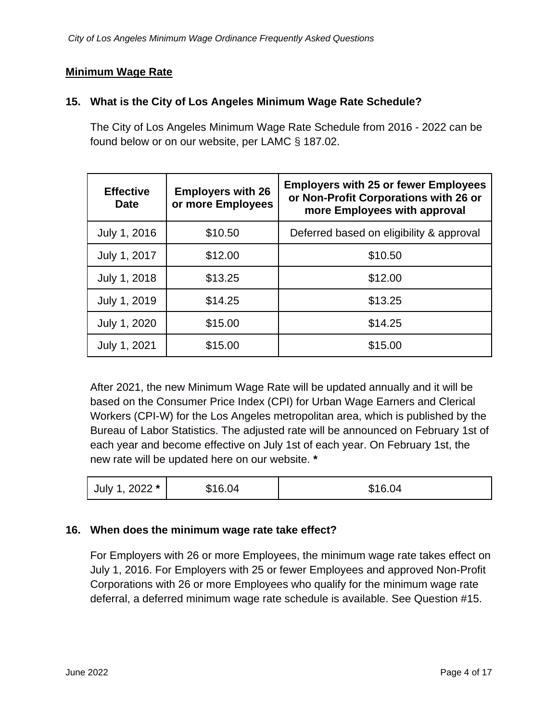#### **Minimum Wage Rate**

#### <span id="page-3-0"></span>**15. What is the City of Los Angeles Minimum Wage Rate Schedule?**

The City of Los Angeles Minimum Wage Rate Schedule from 2016 - 2022 can be found below or on our website, per LAMC § 187.02.

| <b>Effective</b><br><b>Date</b> | <b>Employers with 26</b><br>or more Employees | <b>Employers with 25 or fewer Employees</b><br>or Non-Profit Corporations with 26 or<br>more Employees with approval |
|---------------------------------|-----------------------------------------------|----------------------------------------------------------------------------------------------------------------------|
| July 1, 2016                    | \$10.50                                       | Deferred based on eligibility & approval                                                                             |
| July 1, 2017                    | \$12.00                                       | \$10.50                                                                                                              |
| July 1, 2018                    | \$13.25                                       | \$12.00                                                                                                              |
| July 1, 2019                    | \$14.25                                       | \$13.25                                                                                                              |
| July 1, 2020                    | \$15.00                                       | \$14.25                                                                                                              |
| July 1, 2021                    | \$15.00                                       | \$15.00                                                                                                              |

After 2021, the new Minimum Wage Rate will be updated annually and it will be based on the Consumer Price Index (CPI) for Urban Wage Earners and Clerical Workers (CPI-W) for the Los Angeles metropolitan area, which is published by the Bureau of Labor Statistics. The adjusted rate will be announced on February 1st of each year and become effective on July 1st of each year. On February 1st, the new rate will be updated here on our website. **\***

| July 1, 2022 * | \$16.04 | \$16.04 |
|----------------|---------|---------|
|----------------|---------|---------|

#### **16. When does the minimum wage rate take effect?**

For Employers with 26 or more Employees, the minimum wage rate takes effect on July 1, 2016. For Employers with 25 or fewer Employees and approved Non-Profit Corporations with 26 or more Employees who qualify for the minimum wage rate deferral, a deferred minimum wage rate schedule is available. See Question [#15.](#page-3-0)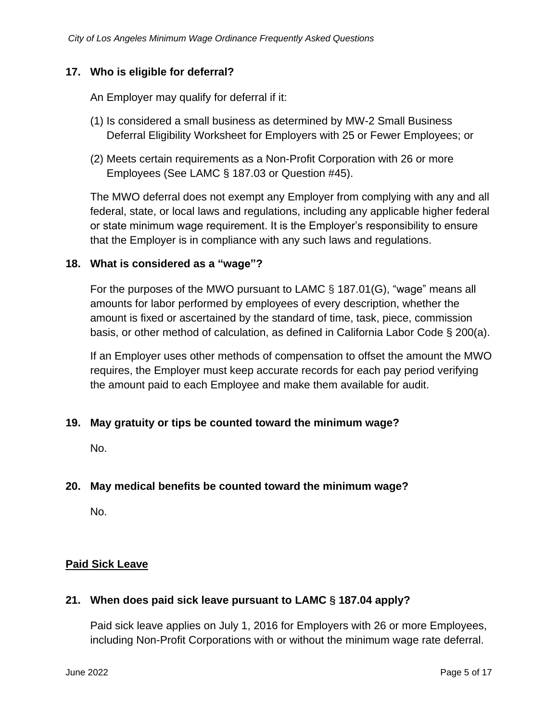#### **17. Who is eligible for deferral?**

An Employer may qualify for deferral if it:

- (1) Is considered a small business as determined by MW-2 Small Business Deferral Eligibility Worksheet for Employers with 25 or Fewer Employees; or
- (2) Meets certain requirements as a Non-Profit Corporation with 26 or more Employees (See LAMC § 187.03 or Question [#45\)](#page-10-0).

The MWO deferral does not exempt any Employer from complying with any and all federal, state, or local laws and regulations, including any applicable higher federal or state minimum wage requirement. It is the Employer's responsibility to ensure that the Employer is in compliance with any such laws and regulations.

#### **18. What is considered as a "wage"?**

For the purposes of the MWO pursuant to LAMC § 187.01(G), "wage" means all amounts for labor performed by employees of every description, whether the amount is fixed or ascertained by the standard of time, task, piece, commission basis, or other method of calculation, as defined in California Labor Code § 200(a).

If an Employer uses other methods of compensation to offset the amount the MWO requires, the Employer must keep accurate records for each pay period verifying the amount paid to each Employee and make them available for audit.

#### **19. May gratuity or tips be counted toward the minimum wage?**

No.

#### **20. May medical benefits be counted toward the minimum wage?**

No.

#### **Paid Sick Leave**

#### **21. When does paid sick leave pursuant to LAMC § 187.04 apply?**

Paid sick leave applies on July 1, 2016 for Employers with 26 or more Employees, including Non-Profit Corporations with or without the minimum wage rate deferral.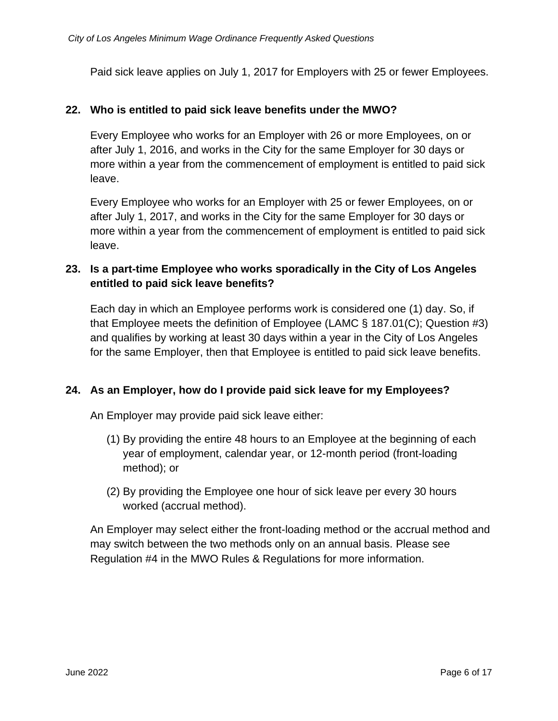Paid sick leave applies on July 1, 2017 for Employers with 25 or fewer Employees.

#### **22. Who is entitled to paid sick leave benefits under the MWO?**

Every Employee who works for an Employer with 26 or more Employees, on or after July 1, 2016, and works in the City for the same Employer for 30 days or more within a year from the commencement of employment is entitled to paid sick leave.

Every Employee who works for an Employer with 25 or fewer Employees, on or after July 1, 2017, and works in the City for the same Employer for 30 days or more within a year from the commencement of employment is entitled to paid sick leave.

### **23. Is a part-time Employee who works sporadically in the City of Los Angeles entitled to paid sick leave benefits?**

Each day in which an Employee performs work is considered one (1) day. So, if that Employee meets the definition of Employee (LAMC § 187.01(C); Question [#3\)](#page-0-0) and qualifies by working at least 30 days within a year in the City of Los Angeles for the same Employer, then that Employee is entitled to paid sick leave benefits.

#### **24. As an Employer, how do I provide paid sick leave for my Employees?**

An Employer may provide paid sick leave either:

- (1) By providing the entire 48 hours to an Employee at the beginning of each year of employment, calendar year, or 12-month period (front-loading method); or
- (2) By providing the Employee one hour of sick leave per every 30 hours worked (accrual method).

An Employer may select either the front-loading method or the accrual method and may switch between the two methods only on an annual basis. Please see Regulation #4 in the MWO Rules & Regulations for more information.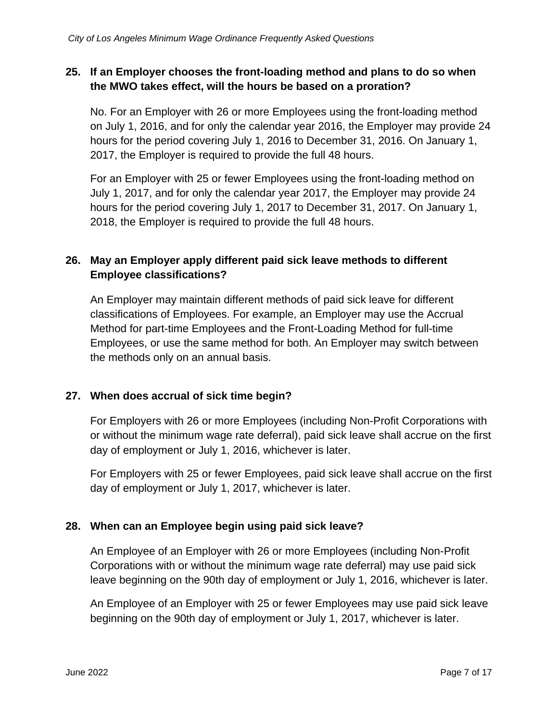# **25. If an Employer chooses the front-loading method and plans to do so when the MWO takes effect, will the hours be based on a proration?**

No. For an Employer with 26 or more Employees using the front-loading method on July 1, 2016, and for only the calendar year 2016, the Employer may provide 24 hours for the period covering July 1, 2016 to December 31, 2016. On January 1, 2017, the Employer is required to provide the full 48 hours.

For an Employer with 25 or fewer Employees using the front-loading method on July 1, 2017, and for only the calendar year 2017, the Employer may provide 24 hours for the period covering July 1, 2017 to December 31, 2017. On January 1, 2018, the Employer is required to provide the full 48 hours.

# **26. May an Employer apply different paid sick leave methods to different Employee classifications?**

An Employer may maintain different methods of paid sick leave for different classifications of Employees. For example, an Employer may use the Accrual Method for part-time Employees and the Front-Loading Method for full-time Employees, or use the same method for both. An Employer may switch between the methods only on an annual basis.

# **27. When does accrual of sick time begin?**

For Employers with 26 or more Employees (including Non-Profit Corporations with or without the minimum wage rate deferral), paid sick leave shall accrue on the first day of employment or July 1, 2016, whichever is later.

For Employers with 25 or fewer Employees, paid sick leave shall accrue on the first day of employment or July 1, 2017, whichever is later.

# **28. When can an Employee begin using paid sick leave?**

An Employee of an Employer with 26 or more Employees (including Non-Profit Corporations with or without the minimum wage rate deferral) may use paid sick leave beginning on the 90th day of employment or July 1, 2016, whichever is later.

An Employee of an Employer with 25 or fewer Employees may use paid sick leave beginning on the 90th day of employment or July 1, 2017, whichever is later.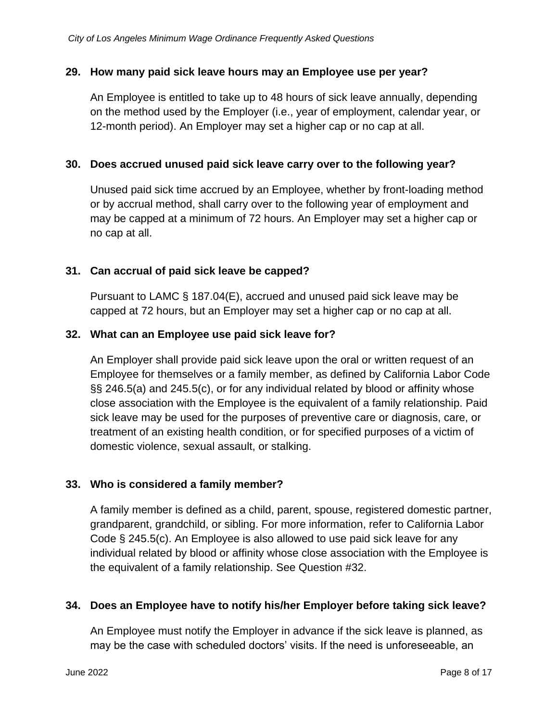#### **29. How many paid sick leave hours may an Employee use per year?**

An Employee is entitled to take up to 48 hours of sick leave annually, depending on the method used by the Employer (i.e., year of employment, calendar year, or 12-month period). An Employer may set a higher cap or no cap at all.

#### **30. Does accrued unused paid sick leave carry over to the following year?**

Unused paid sick time accrued by an Employee, whether by front-loading method or by accrual method, shall carry over to the following year of employment and may be capped at a minimum of 72 hours. An Employer may set a higher cap or no cap at all.

#### **31. Can accrual of paid sick leave be capped?**

Pursuant to LAMC § 187.04(E), accrued and unused paid sick leave may be capped at 72 hours, but an Employer may set a higher cap or no cap at all.

#### <span id="page-7-0"></span>**32. What can an Employee use paid sick leave for?**

An Employer shall provide paid sick leave upon the oral or written request of an Employee for themselves or a family member, as defined by California Labor Code §§ 246.5(a) and 245.5(c), or for any individual related by blood or affinity whose close association with the Employee is the equivalent of a family relationship. Paid sick leave may be used for the purposes of preventive care or diagnosis, care, or treatment of an existing health condition, or for specified purposes of a victim of domestic violence, sexual assault, or stalking.

#### **33. Who is considered a family member?**

A family member is defined as a child, parent, spouse, registered domestic partner, grandparent, grandchild, or sibling. For more information, refer to California Labor Code § 245.5(c). An Employee is also allowed to use paid sick leave for any individual related by blood or affinity whose close association with the Employee is the equivalent of a family relationship. See Question [#32.](#page-7-0)

#### **34. Does an Employee have to notify his/her Employer before taking sick leave?**

An Employee must notify the Employer in advance if the sick leave is planned, as may be the case with scheduled doctors' visits. If the need is unforeseeable, an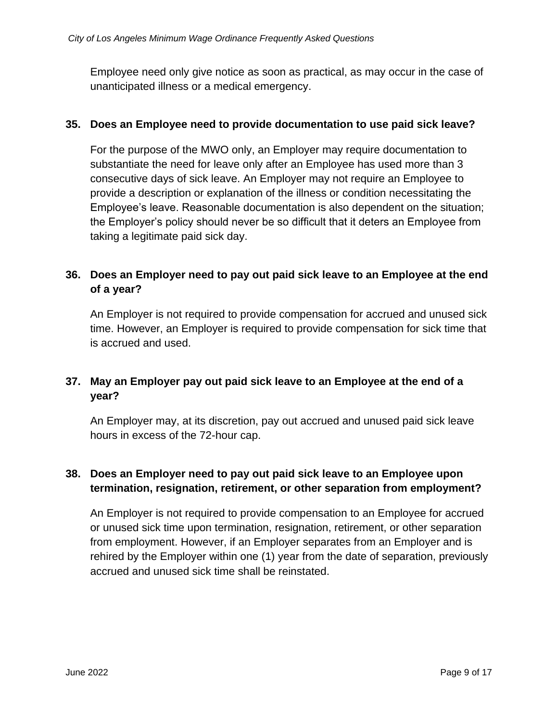Employee need only give notice as soon as practical, as may occur in the case of unanticipated illness or a medical emergency.

#### **35. Does an Employee need to provide documentation to use paid sick leave?**

For the purpose of the MWO only, an Employer may require documentation to substantiate the need for leave only after an Employee has used more than 3 consecutive days of sick leave. An Employer may not require an Employee to provide a description or explanation of the illness or condition necessitating the Employee's leave. Reasonable documentation is also dependent on the situation; the Employer's policy should never be so difficult that it deters an Employee from taking a legitimate paid sick day.

# **36. Does an Employer need to pay out paid sick leave to an Employee at the end of a year?**

An Employer is not required to provide compensation for accrued and unused sick time. However, an Employer is required to provide compensation for sick time that is accrued and used.

# **37. May an Employer pay out paid sick leave to an Employee at the end of a year?**

An Employer may, at its discretion, pay out accrued and unused paid sick leave hours in excess of the 72-hour cap.

# **38. Does an Employer need to pay out paid sick leave to an Employee upon termination, resignation, retirement, or other separation from employment?**

An Employer is not required to provide compensation to an Employee for accrued or unused sick time upon termination, resignation, retirement, or other separation from employment. However, if an Employer separates from an Employer and is rehired by the Employer within one (1) year from the date of separation, previously accrued and unused sick time shall be reinstated.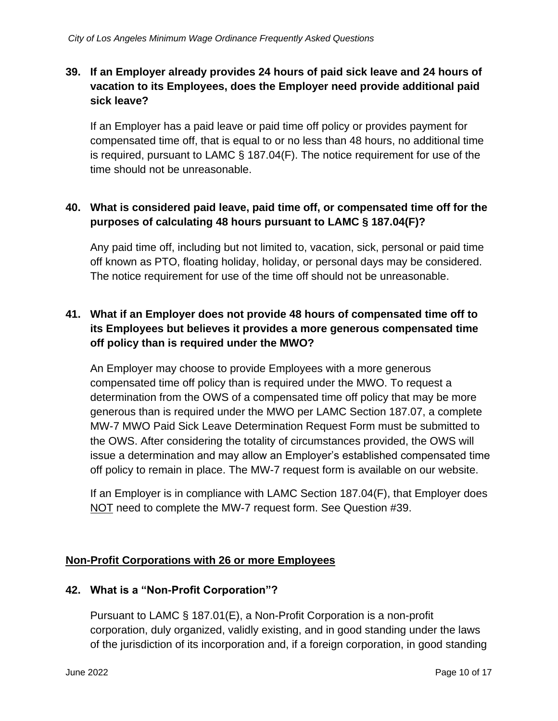# <span id="page-9-0"></span>**39. If an Employer already provides 24 hours of paid sick leave and 24 hours of vacation to its Employees, does the Employer need provide additional paid sick leave?**

If an Employer has a paid leave or paid time off policy or provides payment for compensated time off, that is equal to or no less than 48 hours, no additional time is required, pursuant to LAMC § 187.04(F). The notice requirement for use of the time should not be unreasonable.

# **40. What is considered paid leave, paid time off, or compensated time off for the purposes of calculating 48 hours pursuant to LAMC § 187.04(F)?**

Any paid time off, including but not limited to, vacation, sick, personal or paid time off known as PTO, floating holiday, holiday, or personal days may be considered. The notice requirement for use of the time off should not be unreasonable.

# **41. What if an Employer does not provide 48 hours of compensated time off to its Employees but believes it provides a more generous compensated time off policy than is required under the MWO?**

An Employer may choose to provide Employees with a more generous compensated time off policy than is required under the MWO. To request a determination from the OWS of a compensated time off policy that may be more generous than is required under the MWO per LAMC Section 187.07, a complete MW-7 MWO Paid Sick Leave Determination Request Form must be submitted to the OWS. After considering the totality of circumstances provided, the OWS will issue a determination and may allow an Employer's established compensated time off policy to remain in place. The MW-7 request form is available on our website.

If an Employer is in compliance with LAMC Section 187.04(F), that Employer does NOT need to complete the MW-7 request form. See Question [#39.](#page-9-0)

# **Non-Profit Corporations with 26 or more Employees**

#### **42. What is a "Non-Profit Corporation"?**

Pursuant to LAMC § 187.01(E), a Non-Profit Corporation is a non-profit corporation, duly organized, validly existing, and in good standing under the laws of the jurisdiction of its incorporation and, if a foreign corporation, in good standing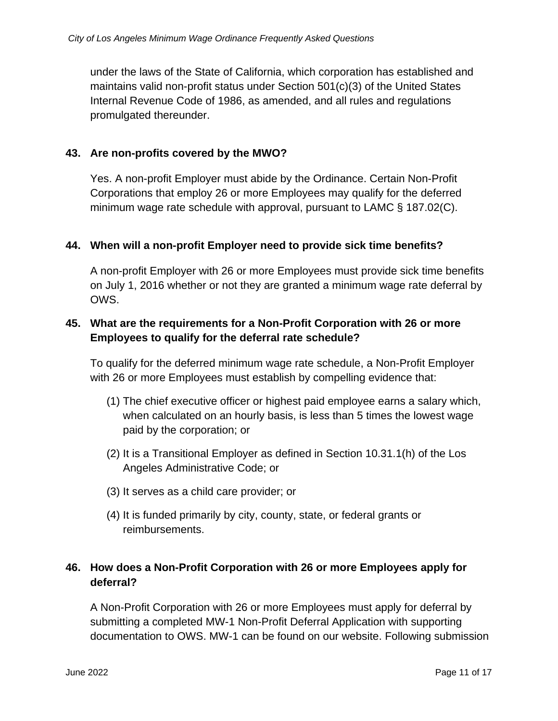under the laws of the State of California, which corporation has established and maintains valid non-profit status under Section 501(c)(3) of the United States Internal Revenue Code of 1986, as amended, and all rules and regulations promulgated thereunder.

#### **43. Are non-profits covered by the MWO?**

Yes. A non-profit Employer must abide by the Ordinance. Certain Non-Profit Corporations that employ 26 or more Employees may qualify for the deferred minimum wage rate schedule with approval, pursuant to LAMC § 187.02(C).

#### **44. When will a non-profit Employer need to provide sick time benefits?**

A non-profit Employer with 26 or more Employees must provide sick time benefits on July 1, 2016 whether or not they are granted a minimum wage rate deferral by OWS.

### <span id="page-10-0"></span>**45. What are the requirements for a Non-Profit Corporation with 26 or more Employees to qualify for the deferral rate schedule?**

To qualify for the deferred minimum wage rate schedule, a Non-Profit Employer with 26 or more Employees must establish by compelling evidence that:

- (1) The chief executive officer or highest paid employee earns a salary which, when calculated on an hourly basis, is less than 5 times the lowest wage paid by the corporation; or
- (2) It is a Transitional Employer as defined in Section 10.31.1(h) of the Los Angeles Administrative Code; or
- (3) It serves as a child care provider; or
- (4) It is funded primarily by city, county, state, or federal grants or reimbursements.

# **46. How does a Non-Profit Corporation with 26 or more Employees apply for deferral?**

A Non-Profit Corporation with 26 or more Employees must apply for deferral by submitting a completed MW-1 Non-Profit Deferral Application with supporting documentation to OWS. MW-1 can be found on our website. Following submission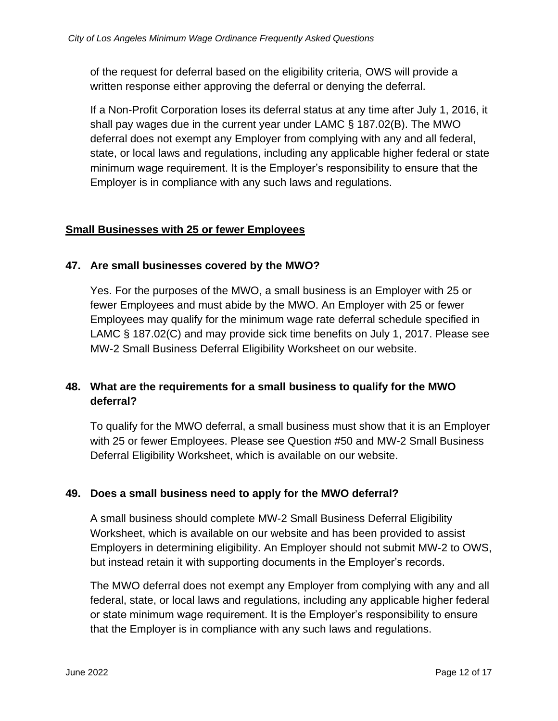of the request for deferral based on the eligibility criteria, OWS will provide a written response either approving the deferral or denying the deferral.

If a Non-Profit Corporation loses its deferral status at any time after July 1, 2016, it shall pay wages due in the current year under LAMC § 187.02(B). The MWO deferral does not exempt any Employer from complying with any and all federal, state, or local laws and regulations, including any applicable higher federal or state minimum wage requirement. It is the Employer's responsibility to ensure that the Employer is in compliance with any such laws and regulations.

#### **Small Businesses with 25 or fewer Employees**

#### **47. Are small businesses covered by the MWO?**

Yes. For the purposes of the MWO, a small business is an Employer with 25 or fewer Employees and must abide by the MWO. An Employer with 25 or fewer Employees may qualify for the minimum wage rate deferral schedule specified in LAMC § 187.02(C) and may provide sick time benefits on July 1, 2017. Please see MW-2 Small Business Deferral Eligibility Worksheet on our website.

# **48. What are the requirements for a small business to qualify for the MWO deferral?**

To qualify for the MWO deferral, a small business must show that it is an Employer with 25 or fewer Employees. Please see Question [#50](#page-12-0) and MW-2 Small Business Deferral Eligibility Worksheet, which is available on our website.

#### **49. Does a small business need to apply for the MWO deferral?**

A small business should complete MW-2 Small Business Deferral Eligibility Worksheet, which is available on our website and has been provided to assist Employers in determining eligibility. An Employer should not submit MW-2 to OWS, but instead retain it with supporting documents in the Employer's records.

The MWO deferral does not exempt any Employer from complying with any and all federal, state, or local laws and regulations, including any applicable higher federal or state minimum wage requirement. It is the Employer's responsibility to ensure that the Employer is in compliance with any such laws and regulations.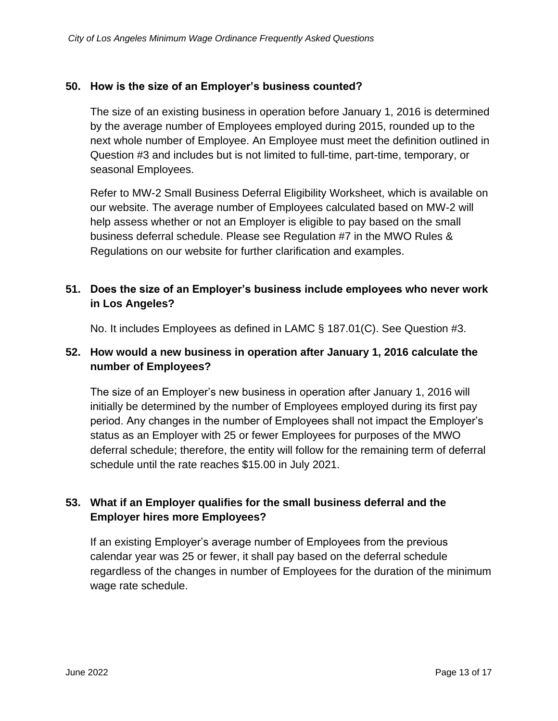### <span id="page-12-0"></span>**50. How is the size of an Employer's business counted?**

The size of an existing business in operation before January 1, 2016 is determined by the average number of Employees employed during 2015, rounded up to the next whole number of Employee. An Employee must meet the definition outlined in Question [#3](#page-0-0) and includes but is not limited to full-time, part-time, temporary, or seasonal Employees.

Refer to MW-2 Small Business Deferral Eligibility Worksheet, which is available on our website. The average number of Employees calculated based on MW-2 will help assess whether or not an Employer is eligible to pay based on the small business deferral schedule. Please see Regulation #7 in the MWO Rules & Regulations on our website for further clarification and examples.

# **51. Does the size of an Employer's business include employees who never work in Los Angeles?**

No. It includes Employees as defined in LAMC § 187.01(C). See Question [#3.](#page-0-0)

### **52. How would a new business in operation after January 1, 2016 calculate the number of Employees?**

The size of an Employer's new business in operation after January 1, 2016 will initially be determined by the number of Employees employed during its first pay period. Any changes in the number of Employees shall not impact the Employer's status as an Employer with 25 or fewer Employees for purposes of the MWO deferral schedule; therefore, the entity will follow for the remaining term of deferral schedule until the rate reaches \$15.00 in July 2021.

# **53. What if an Employer qualifies for the small business deferral and the Employer hires more Employees?**

If an existing Employer's average number of Employees from the previous calendar year was 25 or fewer, it shall pay based on the deferral schedule regardless of the changes in number of Employees for the duration of the minimum wage rate schedule.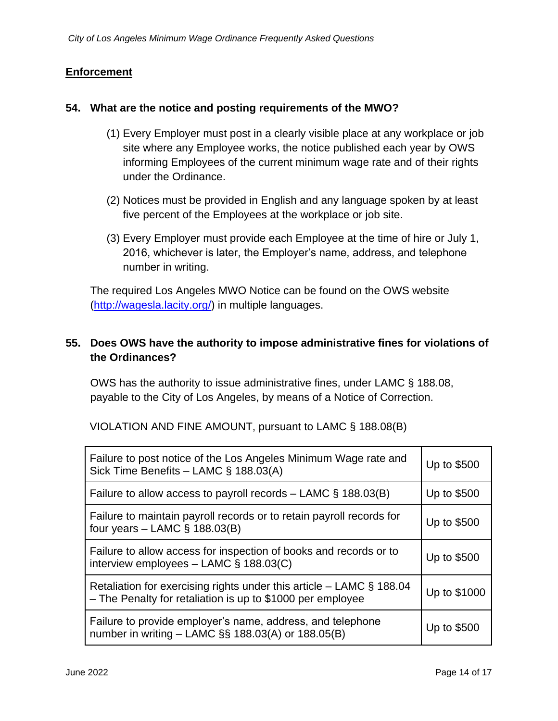#### **Enforcement**

#### **54. What are the notice and posting requirements of the MWO?**

- (1) Every Employer must post in a clearly visible place at any workplace or job site where any Employee works, the notice published each year by OWS informing Employees of the current minimum wage rate and of their rights under the Ordinance.
- (2) Notices must be provided in English and any language spoken by at least five percent of the Employees at the workplace or job site.
- (3) Every Employer must provide each Employee at the time of hire or July 1, 2016, whichever is later, the Employer's name, address, and telephone number in writing.

The required Los Angeles MWO Notice can be found on the OWS website [\(http://wagesla.lacity.org/\)](http://wagesla.lacity.org/) in multiple languages.

# <span id="page-13-0"></span>**55. Does OWS have the authority to impose administrative fines for violations of the Ordinances?**

OWS has the authority to issue administrative fines, under LAMC § 188.08, payable to the City of Los Angeles, by means of a Notice of Correction.

| Failure to post notice of the Los Angeles Minimum Wage rate and<br>Sick Time Benefits - LAMC § 188.03(A)                             | Up to \$500  |
|--------------------------------------------------------------------------------------------------------------------------------------|--------------|
| Failure to allow access to payroll records $-$ LAMC § 188.03(B)                                                                      | Up to \$500  |
| Failure to maintain payroll records or to retain payroll records for<br>four years $-$ LAMC § 188.03(B)                              | Up to \$500  |
| Failure to allow access for inspection of books and records or to<br>interview employees $-$ LAMC § 188.03(C)                        | Up to \$500  |
| Retaliation for exercising rights under this article $-$ LAMC § 188.04<br>- The Penalty for retaliation is up to \$1000 per employee | Up to \$1000 |
| Failure to provide employer's name, address, and telephone<br>number in writing $-$ LAMC $\S$ § 188.03(A) or 188.05(B)               | Up to \$500  |

VIOLATION AND FINE AMOUNT, pursuant to LAMC § 188.08(B)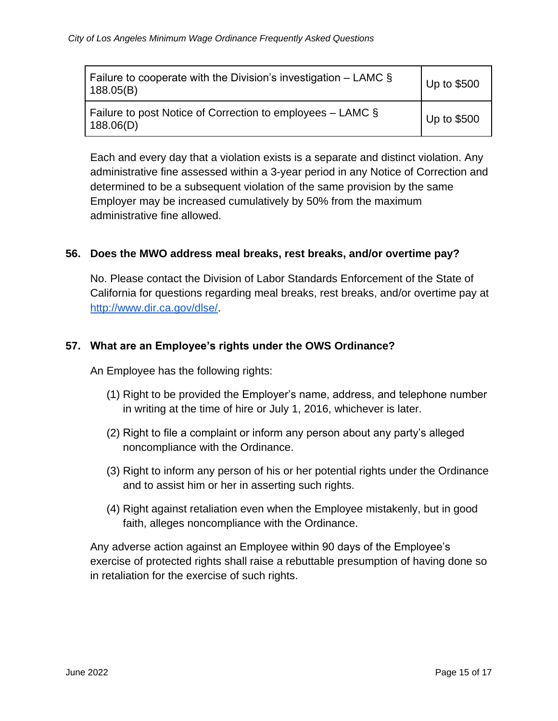| Failure to cooperate with the Division's investigation – LAMC $\S$<br>188.05(B) | Up to \$500 |
|---------------------------------------------------------------------------------|-------------|
| Failure to post Notice of Correction to employees $-$ LAMC $\S$<br>188.06(D)    | Up to \$500 |

Each and every day that a violation exists is a separate and distinct violation. Any administrative fine assessed within a 3-year period in any Notice of Correction and determined to be a subsequent violation of the same provision by the same Employer may be increased cumulatively by 50% from the maximum administrative fine allowed.

### **56. Does the MWO address meal breaks, rest breaks, and/or overtime pay?**

No. Please contact the Division of Labor Standards Enforcement of the State of California for questions regarding meal breaks, rest breaks, and/or overtime pay at [http://www.dir.ca.gov/dlse/.](http://www.dir.ca.gov/dlse/)

### **57. What are an Employee's rights under the OWS Ordinance?**

An Employee has the following rights:

- (1) Right to be provided the Employer's name, address, and telephone number in writing at the time of hire or July 1, 2016, whichever is later.
- (2) Right to file a complaint or inform any person about any party's alleged noncompliance with the Ordinance.
- (3) Right to inform any person of his or her potential rights under the Ordinance and to assist him or her in asserting such rights.
- (4) Right against retaliation even when the Employee mistakenly, but in good faith, alleges noncompliance with the Ordinance.

Any adverse action against an Employee within 90 days of the Employee's exercise of protected rights shall raise a rebuttable presumption of having done so in retaliation for the exercise of such rights.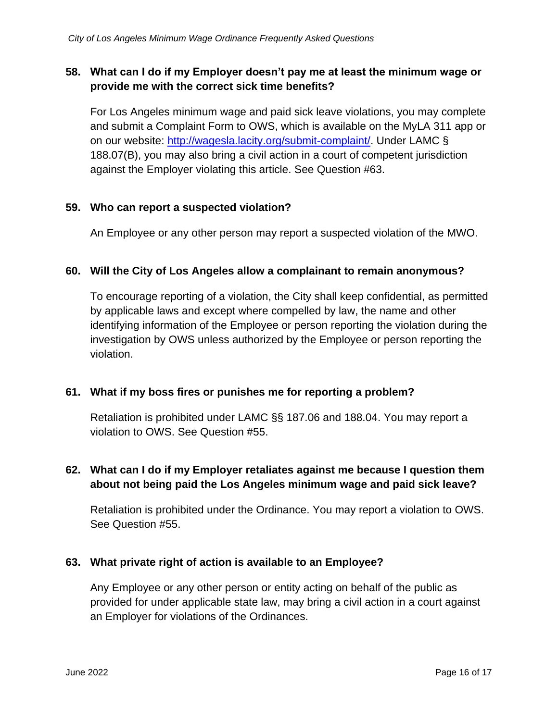### **58. What can I do if my Employer doesn't pay me at least the minimum wage or provide me with the correct sick time benefits?**

For Los Angeles minimum wage and paid sick leave violations, you may complete and submit a Complaint Form to OWS, which is available on the MyLA 311 app or on our website: [http://wagesla.lacity.org/submit-complaint/.](http://wagesla.lacity.org/submit-complaint/) Under LAMC § 188.07(B), you may also bring a civil action in a court of competent jurisdiction against the Employer violating this article. See Question [#63.](#page-15-0)

### **59. Who can report a suspected violation?**

An Employee or any other person may report a suspected violation of the MWO.

#### **60. Will the City of Los Angeles allow a complainant to remain anonymous?**

To encourage reporting of a violation, the City shall keep confidential, as permitted by applicable laws and except where compelled by law, the name and other identifying information of the Employee or person reporting the violation during the investigation by OWS unless authorized by the Employee or person reporting the violation.

#### **61. What if my boss fires or punishes me for reporting a problem?**

Retaliation is prohibited under LAMC §§ 187.06 and 188.04. You may report a violation to OWS. See Question [#55.](#page-13-0)

# **62. What can I do if my Employer retaliates against me because I question them about not being paid the Los Angeles minimum wage and paid sick leave?**

Retaliation is prohibited under the Ordinance. You may report a violation to OWS. See Question [#55.](#page-13-0)

#### <span id="page-15-0"></span>**63. What private right of action is available to an Employee?**

Any Employee or any other person or entity acting on behalf of the public as provided for under applicable state law, may bring a civil action in a court against an Employer for violations of the Ordinances.